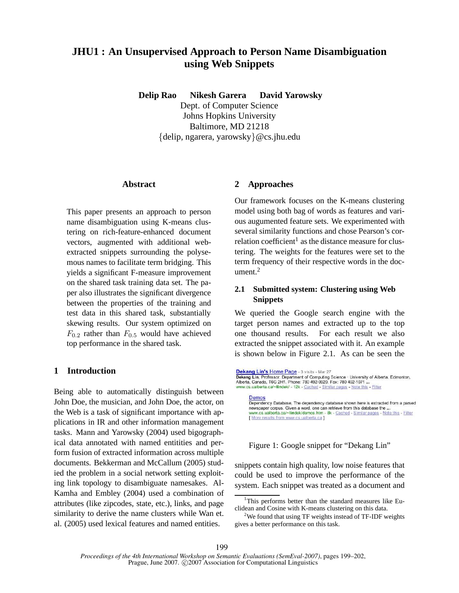# **JHU1 : An Unsupervised Approach to Person Name Disambiguation using Web Snippets**

**Delip Rao Nikesh Garera David Yarowsky** Dept. of Computer Science Johns Hopkins University Baltimore, MD 21218 {delip, ngarera, yarowsky}@cs.jhu.edu

#### **Abstract**

This paper presents an approach to person name disambiguation using K-means clustering on rich-feature-enhanced document vectors, augmented with additional webextracted snippets surrounding the polysemous names to facilitate term bridging. This yields a significant F-measure improvement on the shared task training data set. The paper also illustrates the significant divergence between the properties of the training and test data in this shared task, substantially skewing results. Our system optimized on  $F_{0,2}$  rather than  $F_{0,5}$  would have achieved top performance in the shared task.

# **1 Introduction**

Being able to automatically distinguish between John Doe, the musician, and John Doe, the actor, on the Web is a task of significant importance with applications in IR and other information management tasks. Mann and Yarowsky (2004) used bigographical data annotated with named entitities and perform fusion of extracted information across multiple documents. Bekkerman and McCallum (2005) studied the problem in a social network setting exploiting link topology to disambiguate namesakes. Al-Kamha and Embley (2004) used a combination of attributes (like zipcodes, state, etc.), links, and page similarity to derive the name clusters while Wan et. al. (2005) used lexical features and named entities.

#### **2 Approaches**

Our framework focuses on the K-means clustering model using both bag of words as features and various augumented feature sets. We experimented with several similarity functions and chose Pearson's correlation coefficient<sup>1</sup> as the distance measure for clustering. The weights for the features were set to the term frequency of their respective words in the document. $<sup>2</sup>$ </sup>

# **2.1 Submitted system: Clustering using Web Snippets**

We queried the Google search engine with the target person names and extracted up to the top one thousand results. For each result we also extracted the snippet associated with it. An example is shown below in Figure 2.1. As can be seen the

Dekang Lin's Home Page - 3 visits - Mar 27 Dekang Lin, Professor. Department of Computing Science · University of Alberta. Edmonton, Alberta, Canada, T6G 2H1. Phone: 780 492-9920. Fax: 780 492-1071 ... www.cs.ualberta.ca/~lindek/ - 12k - Cached - Similar pages - Note this - Filter Demos Dependency Database, The dependency database shown here is extracted from a parsed newspaper corpus. Given a word, one can retrieve from this database the ... ww.cs.ualberta.ca/~lindek/demos.htm - 8k - Cached - Similar pages - Note this - Filter [ More results from www.cs.ualberta.ca ]

Figure 1: Google snippet for "Dekang Lin"

snippets contain high quality, low noise features that could be used to improve the performance of the system. Each snippet was treated as a document and

<sup>&</sup>lt;sup>1</sup>This performs better than the standard measures like Euclidean and Cosine with K-means clustering on this data.

<sup>&</sup>lt;sup>2</sup>We found that using TF weights instead of TF-IDF weights gives a better performance on this task.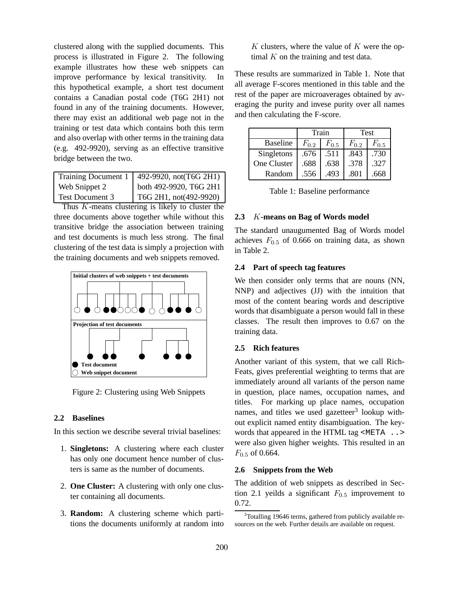clustered along with the supplied documents. This process is illustrated in Figure 2. The following example illustrates how these web snippets can improve performance by lexical transitivity. In this hypothetical example, a short test document contains a Canadian postal code (T6G 2H1) not found in any of the training documents. However, there may exist an additional web page not in the training or test data which contains both this term and also overlap with other terms in the training data (e.g. 492-9920), serving as an effective transitive bridge between the two.

| Training Document 1    | 492-9920, not(T6G 2H1) |
|------------------------|------------------------|
| Web Snippet 2          | both 492-9920, T6G 2H1 |
| <b>Test Document 3</b> | T6G 2H1, not(492-9920) |

Thus K-means clustering is likely to cluster the three documents above together while without this transitive bridge the association between training and test documents is much less strong. The final clustering of the test data is simply a projection with the training documents and web snippets removed.



Figure 2: Clustering using Web Snippets

#### **2.2 Baselines**

In this section we describe several trivial baselines:

- 1. **Singletons:** A clustering where each cluster has only one document hence number of clusters is same as the number of documents.
- 2. **One Cluster:** A clustering with only one cluster containing all documents.
- 3. **Random:** A clustering scheme which partitions the documents uniformly at random into

 $K$  clusters, where the value of  $K$  were the optimal  $K$  on the training and test data.

These results are summarized in Table 1. Note that all average F-scores mentioned in this table and the rest of the paper are microaverages obtained by averaging the purity and invese purity over all names and then calculating the F-score.

|                 | Train     |           | Test      |           |
|-----------------|-----------|-----------|-----------|-----------|
| <b>Baseline</b> | $F_{0,2}$ | $F_{0.5}$ | $F_{0,2}$ | $F_{0.5}$ |
| Singletons      | .676      | .511      | .843      | .730      |
| One Cluster     | .688      | .638      | .378      | .327      |
| Random          | .556      | .493      | .801      | .668      |

# **2.3** K**-means on Bag of Words model**

The standard unaugumented Bag of Words model achieves  $F_{0.5}$  of 0.666 on training data, as shown in Table 2.

# **2.4 Part of speech tag features**

We then consider only terms that are nouns (NN, NNP) and adjectives (JJ) with the intuition that most of the content bearing words and descriptive words that disambiguate a person would fall in these classes. The result then improves to 0.67 on the training data.

# **2.5 Rich features**

Another variant of this system, that we call Rich-Feats, gives preferential weighting to terms that are immediately around all variants of the person name in question, place names, occupation names, and titles. For marking up place names, occupation names, and titles we used gazetteer<sup>3</sup> lookup without explicit named entity disambiguation. The keywords that appeared in the HTML tag <META .. > were also given higher weights. This resulted in an  $F_{0.5}$  of 0.664.

# **2.6 Snippets from the Web**

The addition of web snippets as described in Section 2.1 yeilds a significant  $F_{0.5}$  improvement to 0.72.

<sup>&</sup>lt;sup>3</sup>Totalling 19646 terms, gathered from publicly available resources on the web. Further details are available on request.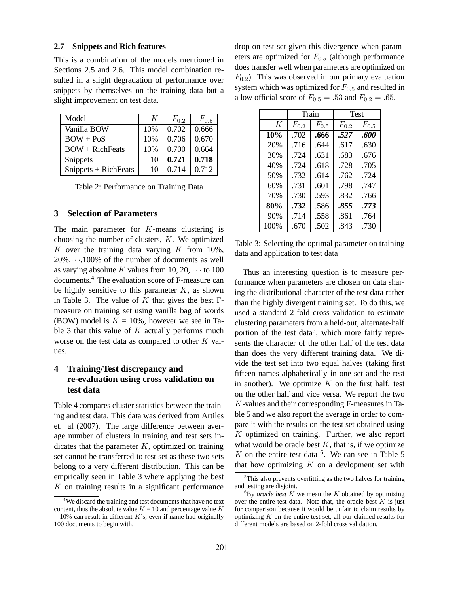#### **2.7 Snippets and Rich features**

This is a combination of the models mentioned in Sections 2.5 and 2.6. This model combination resulted in a slight degradation of performance over snippets by themselves on the training data but a slight improvement on test data.

| Model                | K   | $F_{0,2}$ | $F_{0.5}$ |
|----------------------|-----|-----------|-----------|
| Vanilla BOW          | 10% | 0.702     | 0.666     |
| $BOW + PoS$          | 10% | 0.706     | 0.670     |
| $BOW + RichFeats$    | 10% | 0.700     | 0.664     |
| Snippets             | 10  | 0.721     | 0.718     |
| Snippets + RichFeats | 10  | 0.714     | 0.712     |

Table 2: Performance on Training Data

#### **3 Selection of Parameters**

The main parameter for K-means clustering is choosing the number of clusters,  $K$ . We optimized K over the training data varying  $K$  from 10%,  $20\%, \dots, 100\%$  of the number of documents as well as varying absolute K values from 10, 20,  $\cdots$  to 100 documents.<sup>4</sup> The evaluation score of F-measure can be highly sensitive to this parameter  $K$ , as shown in Table 3. The value of  $K$  that gives the best Fmeasure on training set using vanilla bag of words (BOW) model is  $K = 10\%$ , however we see in Table 3 that this value of  $K$  actually performs much worse on the test data as compared to other  $K$  values.

# **4 Training/Test discrepancy and re-evaluation using cross validation on test data**

Table 4 compares cluster statistics between the training and test data. This data was derived from Artiles et. al (2007). The large difference between average number of clusters in training and test sets indicates that the parameter  $K$ , optimized on training set cannot be transferred to test set as these two sets belong to a very different distribution. This can be emprically seen in Table 3 where applying the best K on training results in a significant performance

drop on test set given this divergence when parameters are optimized for  $F_{0.5}$  (although performance does transfer well when parameters are optimized on  $F_{0.2}$ ). This was observed in our primary evaluation system which was optimized for  $F_{0.5}$  and resulted in a low official score of  $F_{0.5} = .53$  and  $F_{0.2} = .65$ .

|      | Train     |           | <b>Test</b> |           |
|------|-----------|-----------|-------------|-----------|
| K    | $F_{0,2}$ | $F_{0.5}$ | $F_{0.2}$   | $F_{0.5}$ |
| 10%  | .702      | .666      | .527        | .600      |
| 20%  | .716      | .644      | .617        | .630      |
| 30%  | .724      | .631      | .683        | .676      |
| 40%  | .724      | .618      | .728        | .705      |
| 50%  | .732      | .614      | .762        | .724      |
| 60%  | .731      | .601      | .798        | .747      |
| 70%  | .730      | .593      | .832        | .766      |
| 80%  | .732      | .586      | .855        | .773      |
| 90%  | .714      | .558      | .861        | .764      |
| 100% | .670      | .502      | .843        | .730      |

Table 3: Selecting the optimal parameter on training data and application to test data

Thus an interesting question is to measure performance when parameters are chosen on data sharing the distributional character of the test data rather than the highly divergent training set. To do this, we used a standard 2-fold cross validation to estimate clustering parameters from a held-out, alternate-half portion of the test data<sup>5</sup>, which more fairly represents the character of the other half of the test data than does the very different training data. We divide the test set into two equal halves (taking first fifteen names alphabetically in one set and the rest in another). We optimize  $K$  on the first half, test on the other half and vice versa. We report the two K-values and their corresponding F-measures in Table 5 and we also report the average in order to compare it with the results on the test set obtained using  $K$  optimized on training. Further, we also report what would be oracle best  $K$ , that is, if we optimize  $K$  on the entire test data  $<sup>6</sup>$ . We can see in Table 5</sup> that how optimizing  $K$  on a devlopment set with

<sup>&</sup>lt;sup>4</sup>We discard the training and test documents that have no text content, thus the absolute value  $K = 10$  and percentage value K  $= 10\%$  can result in different K's, even if name had originally 100 documents to begin with.

 $5$ This also prevents overfitting as the two halves for training and testing are disjoint.

 ${}^{6}$ By *oracle best* K we mean the K obtained by optimizing over the entire test data. Note that, the oracle best  $K$  is just for comparison because it would be unfair to claim results by optimizing  $K$  on the entire test set, all our claimed results for different models are based on 2-fold cross validation.